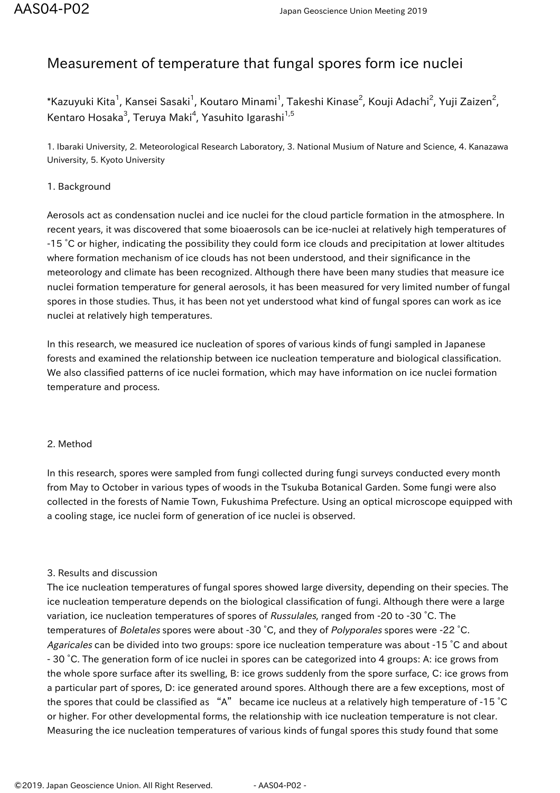## Measurement of temperature that fungal spores form ice nuclei

\*Kazuyuki Kita<sup>1</sup>, Kansei Sasaki<sup>1</sup>, Koutaro Minami<sup>1</sup>, Takeshi Kinase<sup>2</sup>, Kouji Adachi<sup>2</sup>, Yuji Zaizen<sup>2</sup>, Kentaro Hosaka<sup>3</sup>, Teruya Maki<sup>4</sup>, Yasuhito Igarashi<sup>1,5</sup>

1. Ibaraki University, 2. Meteorological Research Laboratory, 3. National Musium of Nature and Science, 4. Kanazawa University, 5. Kyoto University

## 1. Background

Aerosols act as condensation nuclei and ice nuclei for the cloud particle formation in the atmosphere. In recent years, it was discovered that some bioaerosols can be ice-nuclei at relatively high temperatures of -15 °C or higher, indicating the possibility they could form ice clouds and precipitation at lower altitudes where formation mechanism of ice clouds has not been understood, and their significance in the meteorology and climate has been recognized. Although there have been many studies that measure ice nuclei formation temperature for general aerosols, it has been measured for very limited number of fungal spores in those studies. Thus, it has been not yet understood what kind of fungal spores can work as ice nuclei at relatively high temperatures.

In this research, we measured ice nucleation of spores of various kinds of fungi sampled in Japanese forests and examined the relationship between ice nucleation temperature and biological classification. We also classified patterns of ice nuclei formation, which may have information on ice nuclei formation temperature and process.

## 2. Method

In this research, spores were sampled from fungi collected during fungi surveys conducted every month from May to October in various types of woods in the Tsukuba Botanical Garden. Some fungi were also collected in the forests of Namie Town, Fukushima Prefecture. Using an optical microscope equipped with a cooling stage, ice nuclei form of generation of ice nuclei is observed.

## 3. Results and discussion

The ice nucleation temperatures of fungal spores showed large diversity, depending on their species. The ice nucleation temperature depends on the biological classification of fungi. Although there were a large variation, ice nucleation temperatures of spores of Russulales, ranged from -20 to -30 °C. The temperatures of Boletales spores were about -30 °C, and they of Polyporales spores were -22 °C. Agaricales can be divided into two groups: spore ice nucleation temperature was about -15 °C and about - 30 °C. The generation form of ice nuclei in spores can be categorized into 4 groups: A: ice grows from the whole spore surface after its swelling, B: ice grows suddenly from the spore surface, C: ice grows from a particular part of spores, D: ice generated around spores. Although there are a few exceptions, most of the spores that could be classified as "A" became ice nucleus at a relatively high temperature of -15 °C or higher. For other developmental forms, the relationship with ice nucleation temperature is not clear. Measuring the ice nucleation temperatures of various kinds of fungal spores this study found that some